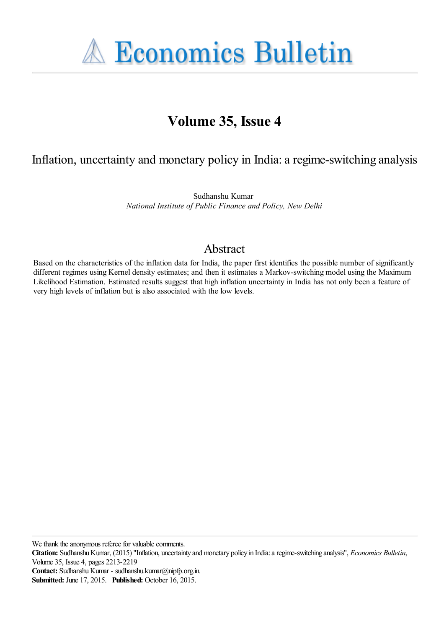

# **Volume 35, Issue 4**

# Inflation, uncertainty and monetary policy in India: a regime-switching analysis

Sudhanshu Kumar *National Institute of Public Finance and Policy, New Delhi*

# Abstract

Based on the characteristics of the inflation data for India, the paper first identifies the possible number of significantly different regimes using Kernel density estimates; and then it estimates a Markov-switching model using the Maximum Likelihood Estimation. Estimated results suggest that high inflation uncertainty in India has not only been a feature of very high levels of inflation but is also associated with the low levels.

We thank the anonymous referee for valuable comments.

**Citation:** Sudhanshu Kumar, (2015) ''Inflation, uncertainty and monetary policy in India: a regime-switching analysis'', *Economics Bulletin*, Volume 35, Issue 4, pages 2213-2219

**Contact:** Sudhanshu Kumar - sudhanshu.kumar@nipfp.org.in.

**Submitted:** June 17, 2015. **Published:** October 16, 2015.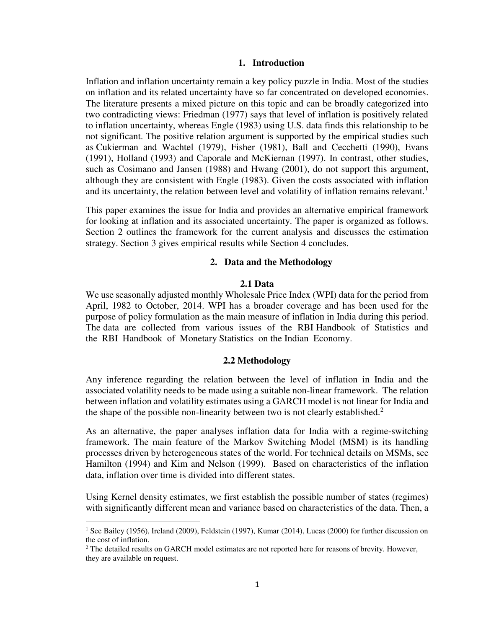# **1. Introduction**

Inflation and inflation uncertainty remain a key policy puzzle in India. Most of the studies on inflation and its related uncertainty have so far concentrated on developed economies. The literature presents a mixed picture on this topic and can be broadly categorized into two contradicting views: Friedman (1977) says that level of inflation is positively related to inflation uncertainty, whereas Engle (1983) using U.S. data finds this relationship to be not significant. The positive relation argument is supported by the empirical studies such as Cukierman and Wachtel (1979), Fisher (1981), Ball and Cecchetti (1990), Evans (1991), Holland (1993) and Caporale and McKiernan (1997). In contrast, other studies, such as Cosimano and Jansen (1988) and Hwang (2001), do not support this argument, although they are consistent with Engle (1983). Given the costs associated with inflation and its uncertainty, the relation between level and volatility of inflation remains relevant.<sup>1</sup>

This paper examines the issue for India and provides an alternative empirical framework for looking at inflation and its associated uncertainty. The paper is organized as follows. Section 2 outlines the framework for the current analysis and discusses the estimation strategy. Section 3 gives empirical results while Section 4 concludes.

# **2. Data and the Methodology**

### **2.1 Data**

We use seasonally adjusted monthly Wholesale Price Index (WPI) data for the period from April, 1982 to October, 2014. WPI has a broader coverage and has been used for the purpose of policy formulation as the main measure of inflation in India during this period. The data are collected from various issues of the RBI Handbook of Statistics and the RBI Handbook of Monetary Statistics on the Indian Economy.

#### **2.2 Methodology**

Any inference regarding the relation between the level of inflation in India and the associated volatility needs to be made using a suitable non-linear framework. The relation between inflation and volatility estimates using a GARCH model is not linear for India and the shape of the possible non-linearity between two is not clearly established.<sup>2</sup>

As an alternative, the paper analyses inflation data for India with a regime-switching framework. The main feature of the Markov Switching Model (MSM) is its handling processes driven by heterogeneous states of the world. For technical details on MSMs, see Hamilton (1994) and Kim and Nelson (1999). Based on characteristics of the inflation data, inflation over time is divided into different states.

Using Kernel density estimates, we first establish the possible number of states (regimes) with significantly different mean and variance based on characteristics of the data. Then, a

l

<sup>&</sup>lt;sup>1</sup> See Bailey (1956), Ireland (2009), Feldstein (1997), Kumar (2014), Lucas (2000) for further discussion on the cost of inflation.

<sup>&</sup>lt;sup>2</sup> The detailed results on GARCH model estimates are not reported here for reasons of brevity. However, they are available on request.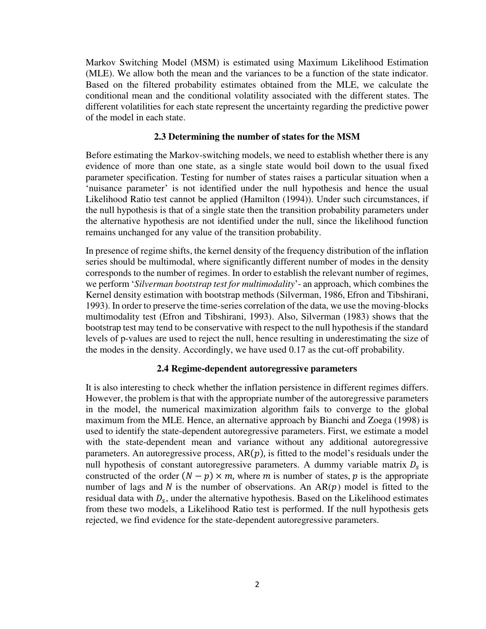Markov Switching Model (MSM) is estimated using Maximum Likelihood Estimation (MLE). We allow both the mean and the variances to be a function of the state indicator. Based on the filtered probability estimates obtained from the MLE, we calculate the conditional mean and the conditional volatility associated with the different states. The different volatilities for each state represent the uncertainty regarding the predictive power of the model in each state.

## **2.3 Determining the number of states for the MSM**

Before estimating the Markov-switching models, we need to establish whether there is any evidence of more than one state, as a single state would boil down to the usual fixed parameter specification. Testing for number of states raises a particular situation when a 'nuisance parameter' is not identified under the null hypothesis and hence the usual Likelihood Ratio test cannot be applied (Hamilton (1994)). Under such circumstances, if the null hypothesis is that of a single state then the transition probability parameters under the alternative hypothesis are not identified under the null, since the likelihood function remains unchanged for any value of the transition probability.

In presence of regime shifts, the kernel density of the frequency distribution of the inflation series should be multimodal, where significantly different number of modes in the density corresponds to the number of regimes. In order to establish the relevant number of regimes, we perform '*Silverman bootstrap test for multimodality*'- an approach, which combines the Kernel density estimation with bootstrap methods (Silverman, 1986, Efron and Tibshirani, 1993). In order to preserve the time-series correlation of the data, we use the moving-blocks multimodality test (Efron and Tibshirani, 1993). Also, Silverman (1983) shows that the bootstrap test may tend to be conservative with respect to the null hypothesis if the standard levels of p-values are used to reject the null, hence resulting in underestimating the size of the modes in the density. Accordingly, we have used 0.17 as the cut-off probability.

#### **2.4 Regime-dependent autoregressive parameters**

It is also interesting to check whether the inflation persistence in different regimes differs. However, the problem is that with the appropriate number of the autoregressive parameters in the model, the numerical maximization algorithm fails to converge to the global maximum from the MLE. Hence, an alternative approach by Bianchi and Zoega (1998) is used to identify the state-dependent autoregressive parameters. First, we estimate a model with the state-dependent mean and variance without any additional autoregressive parameters. An autoregressive process,  $AR(p)$ , is fitted to the model's residuals under the null hypothesis of constant autoregressive parameters. A dummy variable matrix  $D_s$  is constructed of the order  $(N - p) \times m$ , where m is number of states, p is the appropriate number of lags and N is the number of observations. An  $AR(p)$  model is fitted to the residual data with  $D_s$ , under the alternative hypothesis. Based on the Likelihood estimates from these two models, a Likelihood Ratio test is performed. If the null hypothesis gets rejected, we find evidence for the state-dependent autoregressive parameters.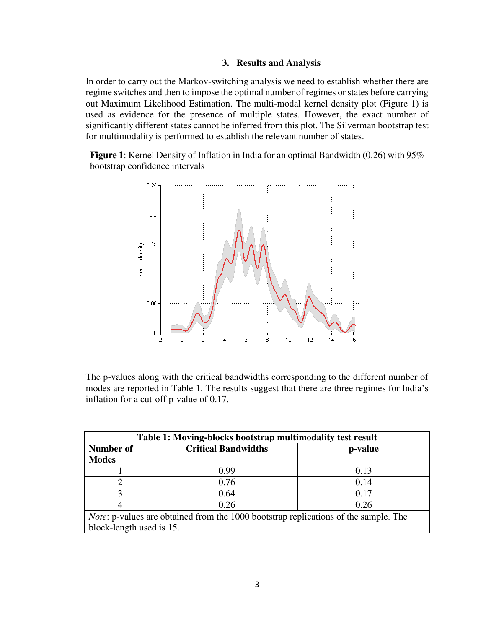# **3. Results and Analysis**

In order to carry out the Markov-switching analysis we need to establish whether there are regime switches and then to impose the optimal number of regimes or states before carrying out Maximum Likelihood Estimation. The multi-modal kernel density plot (Figure 1) is used as evidence for the presence of multiple states. However, the exact number of significantly different states cannot be inferred from this plot. The Silverman bootstrap test for multimodality is performed to establish the relevant number of states.

**Figure 1**: Kernel Density of Inflation in India for an optimal Bandwidth (0.26) with 95% bootstrap confidence intervals



The p-values along with the critical bandwidths corresponding to the different number of modes are reported in Table 1. The results suggest that there are three regimes for India's inflation for a cut-off p-value of 0.17.

| Table 1: Moving-blocks bootstrap multimodality test result                                 |                            |         |  |
|--------------------------------------------------------------------------------------------|----------------------------|---------|--|
| Number of                                                                                  | <b>Critical Bandwidths</b> | p-value |  |
| <b>Modes</b>                                                                               |                            |         |  |
|                                                                                            | 0.99                       | 0.13    |  |
|                                                                                            | 0.76                       | 0.14    |  |
|                                                                                            | 0.64                       | 0.17    |  |
|                                                                                            | 0.26                       | 0.26    |  |
| <i>Note:</i> p-values are obtained from the 1000 bootstrap replications of the sample. The |                            |         |  |
| block-length used is 15.                                                                   |                            |         |  |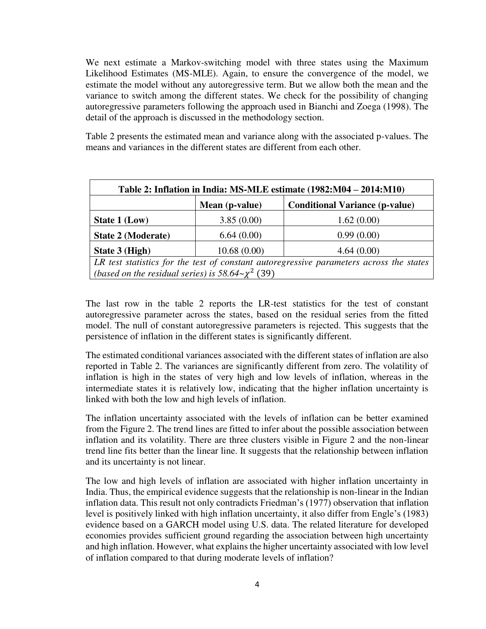We next estimate a Markov-switching model with three states using the Maximum Likelihood Estimates (MS-MLE). Again, to ensure the convergence of the model, we estimate the model without any autoregressive term. But we allow both the mean and the variance to switch among the different states. We check for the possibility of changing autoregressive parameters following the approach used in Bianchi and Zoega (1998). The detail of the approach is discussed in the methodology section.

Table 2 presents the estimated mean and variance along with the associated p-values. The means and variances in the different states are different from each other.

| Table 2: Inflation in India: MS-MLE estimate (1982:M04 – 2014:M10)                      |                |                                       |  |
|-----------------------------------------------------------------------------------------|----------------|---------------------------------------|--|
|                                                                                         | Mean (p-value) | <b>Conditional Variance (p-value)</b> |  |
| State 1 (Low)                                                                           | 3.85(0.00)     | 1.62(0.00)                            |  |
| <b>State 2 (Moderate)</b>                                                               | 6.64(0.00)     | 0.99(0.00)                            |  |
| State 3 (High)                                                                          | 10.68(0.00)    | 4.64(0.00)                            |  |
| LR test statistics for the test of constant autoregressive parameters across the states |                |                                       |  |
| (based on the residual series) is $58.64 \sim \chi^2$ (39)                              |                |                                       |  |

The last row in the table 2 reports the LR-test statistics for the test of constant autoregressive parameter across the states, based on the residual series from the fitted model. The null of constant autoregressive parameters is rejected. This suggests that the persistence of inflation in the different states is significantly different.

The estimated conditional variances associated with the different states of inflation are also reported in Table 2. The variances are significantly different from zero. The volatility of inflation is high in the states of very high and low levels of inflation, whereas in the intermediate states it is relatively low, indicating that the higher inflation uncertainty is linked with both the low and high levels of inflation.

The inflation uncertainty associated with the levels of inflation can be better examined from the Figure 2. The trend lines are fitted to infer about the possible association between inflation and its volatility. There are three clusters visible in Figure 2 and the non-linear trend line fits better than the linear line. It suggests that the relationship between inflation and its uncertainty is not linear.

The low and high levels of inflation are associated with higher inflation uncertainty in India. Thus, the empirical evidence suggests that the relationship is non-linear in the Indian inflation data. This result not only contradicts Friedman's (1977) observation that inflation level is positively linked with high inflation uncertainty, it also differ from Engle's (1983) evidence based on a GARCH model using U.S. data. The related literature for developed economies provides sufficient ground regarding the association between high uncertainty and high inflation. However, what explains the higher uncertainty associated with low level of inflation compared to that during moderate levels of inflation?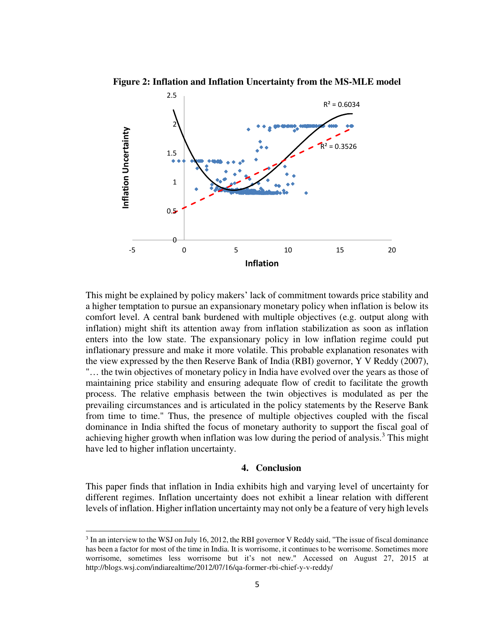**Figure 2: Inflation and Inflation Uncertainty from the MS-MLE model** 



This might be explained by policy makers' lack of commitment towards price stability and a higher temptation to pursue an expansionary monetary policy when inflation is below its comfort level. A central bank burdened with multiple objectives (e.g. output along with inflation) might shift its attention away from inflation stabilization as soon as inflation enters into the low state. The expansionary policy in low inflation regime could put inflationary pressure and make it more volatile. This probable explanation resonates with the view expressed by the then Reserve Bank of India (RBI) governor, Y V Reddy (2007), "… the twin objectives of monetary policy in India have evolved over the years as those of maintaining price stability and ensuring adequate flow of credit to facilitate the growth process. The relative emphasis between the twin objectives is modulated as per the prevailing circumstances and is articulated in the policy statements by the Reserve Bank from time to time." Thus, the presence of multiple objectives coupled with the fiscal dominance in India shifted the focus of monetary authority to support the fiscal goal of achieving higher growth when inflation was low during the period of analysis.<sup>3</sup> This might have led to higher inflation uncertainty.

#### **4. Conclusion**

This paper finds that inflation in India exhibits high and varying level of uncertainty for different regimes. Inflation uncertainty does not exhibit a linear relation with different levels of inflation. Higher inflation uncertainty may not only be a feature of very high levels

 $\overline{\phantom{a}}$ 

 $3$  In an interview to the WSJ on July 16, 2012, the RBI governor V Reddy said, "The issue of fiscal dominance has been a factor for most of the time in India. It is worrisome, it continues to be worrisome. Sometimes more worrisome, sometimes less worrisome but it's not new." Accessed on August 27, 2015 at http://blogs.wsj.com/indiarealtime/2012/07/16/qa-former-rbi-chief-y-v-reddy/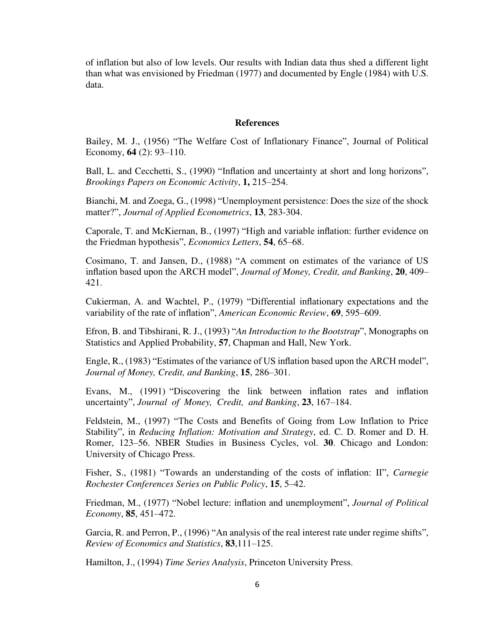of inflation but also of low levels. Our results with Indian data thus shed a different light than what was envisioned by Friedman (1977) and documented by Engle (1984) with U.S. data.

#### **References**

Bailey, M. J., (1956) "The Welfare Cost of Inflationary Finance", Journal of Political Economy, **64** (2): 93–110.

Ball, L. and Cecchetti, S., (1990) "Inflation and uncertainty at short and long horizons", *Brookings Papers on Economic Activity*, **1,** 215–254.

Bianchi, M. and Zoega, G., (1998) "Unemployment persistence: Does the size of the shock matter?", *Journal of Applied Econometrics*, **13**, 283-304.

Caporale, T. and McKiernan, B., (1997) "High and variable inflation: further evidence on the Friedman hypothesis", *Economics Letters*, **54**, 65–68.

Cosimano, T. and Jansen, D., (1988) "A comment on estimates of the variance of US inflation based upon the ARCH model", *Journal of Money, Credit, and Banking*, **20**, 409– 421.

Cukierman, A. and Wachtel, P., (1979) "Differential inflationary expectations and the variability of the rate of inflation", *American Economic Review*, **69**, 595–609.

Efron, B. and Tibshirani, R. J., (1993) "*An Introduction to the Bootstrap*", Monographs on Statistics and Applied Probability, **57**, Chapman and Hall, New York.

Engle, R., (1983) "Estimates of the variance of US inflation based upon the ARCH model", *Journal of Money, Credit, and Banking*, **15**, 286–301.

Evans, M., (1991) "Discovering the link between inflation rates and inflation uncertainty", *Journal of Money, Credit, and Banking*, **23**, 167–184.

Feldstein, M., (1997) "The Costs and Benefits of Going from Low Inflation to Price Stability", in *Reducing Inflation: Motivation and Strategy*, ed. C. D. Romer and D. H. Romer, 123–56. NBER Studies in Business Cycles, vol. **30**. Chicago and London: University of Chicago Press.

Fisher, S., (1981) "Towards an understanding of the costs of inflation: II", *Carnegie Rochester Conferences Series on Public Policy*, **15**, 5–42.

Friedman, M., (1977) "Nobel lecture: inflation and unemployment", *Journal of Political Economy*, **85**, 451–472.

Garcia, R. and Perron, P., (1996) "An analysis of the real interest rate under regime shifts", *Review of Economics and Statistics*, **83**,111–125.

Hamilton, J., (1994) *Time Series Analysis*, Princeton University Press.